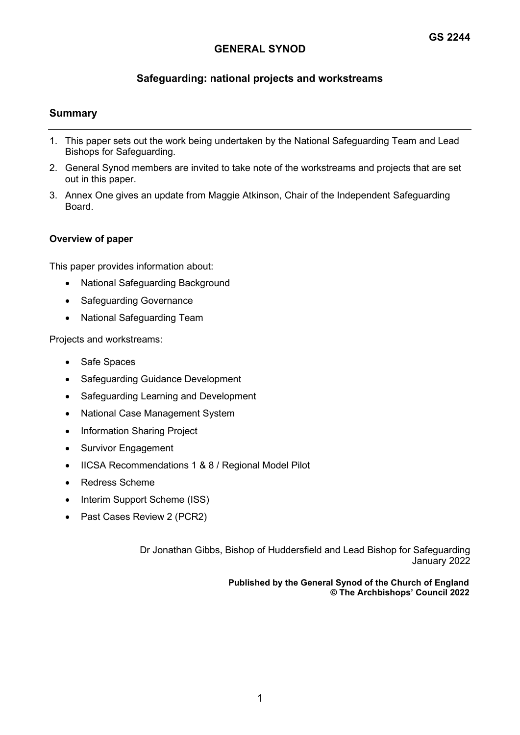# **Safeguarding: national projects and workstreams**

## **Summary**

- 1. This paper sets out the work being undertaken by the National Safeguarding Team and Lead Bishops for Safeguarding.
- 2. General Synod members are invited to take note of the workstreams and projects that are set out in this paper.
- 3. Annex One gives an update from Maggie Atkinson, Chair of the Independent Safeguarding Board.

#### **Overview of paper**

This paper provides information about:

- National Safeguarding Background
- Safeguarding Governance
- National Safeguarding Team

Projects and workstreams:

- Safe Spaces
- Safeguarding Guidance Development
- Safeguarding Learning and Development
- National Case Management System
- Information Sharing Project
- Survivor Engagement
- IICSA Recommendations 1 & 8 / Regional Model Pilot
- Redress Scheme
- Interim Support Scheme (ISS)
- Past Cases Review 2 (PCR2)

 Dr Jonathan Gibbs, Bishop of Huddersfield and Lead Bishop for Safeguarding January 2022

> **Published by the General Synod of the Church of England © The Archbishops' Council 2022**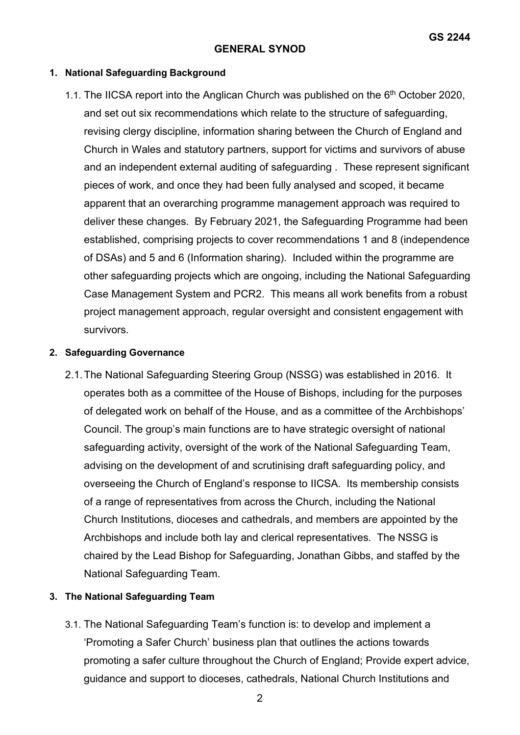### **1. National Safeguarding Background**

1.1. The IICSA report into the Anglican Church was published on the  $6<sup>th</sup>$  October 2020, and set out six recommendations which relate to the structure of safeguarding, revising clergy discipline, information sharing between the Church of England and Church in Wales and statutory partners, support for victims and survivors of abuse and an independent external auditing of safeguarding . These represent significant pieces of work, and once they had been fully analysed and scoped, it became apparent that an overarching programme management approach was required to deliver these changes. By February 2021, the Safeguarding Programme had been established, comprising projects to cover recommendations 1 and 8 (independence of DSAs) and 5 and 6 (Information sharing). Included within the programme are other safeguarding projects which are ongoing, including the National Safeguarding Case Management System and PCR2. This means all work benefits from a robust project management approach, regular oversight and consistent engagement with survivors.

## **2. Safeguarding Governance**

2.1.The National Safeguarding Steering Group (NSSG) was established in 2016. It operates both as a committee of the House of Bishops, including for the purposes of delegated work on behalf of the House, and as a committee of the Archbishops' Council. The group's main functions are to have strategic oversight of national safeguarding activity, oversight of the work of the National Safeguarding Team, advising on the development of and scrutinising draft safeguarding policy, and overseeing the Church of England's response to IICSA. Its membership consists of a range of representatives from across the Church, including the National Church Institutions, dioceses and cathedrals, and members are appointed by the Archbishops and include both lay and clerical representatives. The NSSG is chaired by the Lead Bishop for Safeguarding, Jonathan Gibbs, and staffed by the National Safeguarding Team.

# **3. The National Safeguarding Team**

3.1. The National Safeguarding Team's function is: to develop and implement a 'Promoting a Safer Church' business plan that outlines the actions towards promoting a safer culture throughout the Church of England; Provide expert advice, guidance and support to dioceses, cathedrals, National Church Institutions and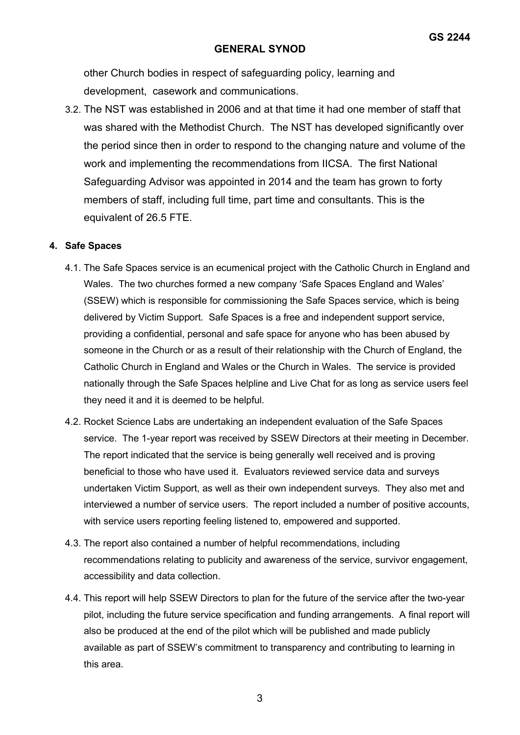other Church bodies in respect of safeguarding policy, learning and development, casework and communications.

3.2. The NST was established in 2006 and at that time it had one member of staff that was shared with the Methodist Church. The NST has developed significantly over the period since then in order to respond to the changing nature and volume of the work and implementing the recommendations from IICSA. The first National Safeguarding Advisor was appointed in 2014 and the team has grown to forty members of staff, including full time, part time and consultants. This is the equivalent of 26.5 FTE.

#### **4. Safe Spaces**

- 4.1. The Safe Spaces service is an ecumenical project with the Catholic Church in England and Wales. The two churches formed a new company 'Safe Spaces England and Wales' (SSEW) which is responsible for commissioning the Safe Spaces service, which is being delivered by Victim Support. Safe Spaces is a free and independent support service, providing a confidential, personal and safe space for anyone who has been abused by someone in the Church or as a result of their relationship with the Church of England, the Catholic Church in England and Wales or the Church in Wales. The service is provided nationally through the Safe Spaces helpline and Live Chat for as long as service users feel they need it and it is deemed to be helpful.
- 4.2. Rocket Science Labs are undertaking an independent evaluation of the Safe Spaces service. The 1-year report was received by SSEW Directors at their meeting in December. The report indicated that the service is being generally well received and is proving beneficial to those who have used it. Evaluators reviewed service data and surveys undertaken Victim Support, as well as their own independent surveys. They also met and interviewed a number of service users. The report included a number of positive accounts, with service users reporting feeling listened to, empowered and supported.
- 4.3. The report also contained a number of helpful recommendations, including recommendations relating to publicity and awareness of the service, survivor engagement, accessibility and data collection.
- 4.4. This report will help SSEW Directors to plan for the future of the service after the two-year pilot, including the future service specification and funding arrangements. A final report will also be produced at the end of the pilot which will be published and made publicly available as part of SSEW's commitment to transparency and contributing to learning in this area.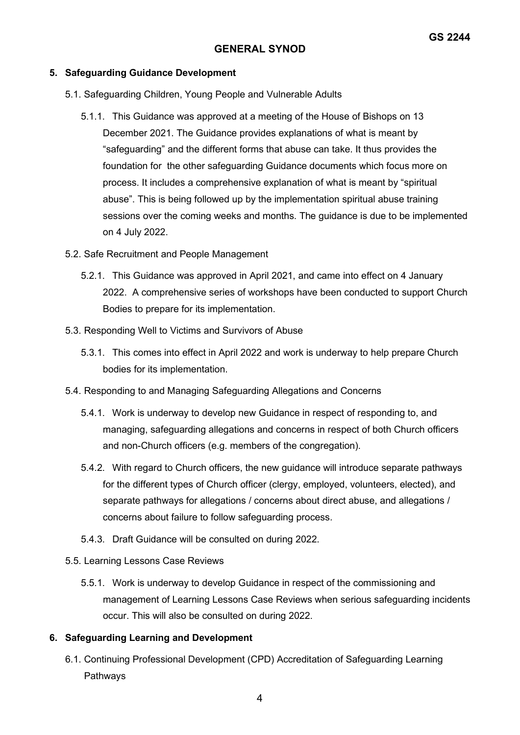#### **5. Safeguarding Guidance Development**

- 5.1. Safeguarding Children, Young People and Vulnerable Adults
	- 5.1.1. This Guidance was approved at a meeting of the House of Bishops on 13 December 2021. The Guidance provides explanations of what is meant by "safeguarding" and the different forms that abuse can take. It thus provides the foundation for the other safeguarding Guidance documents which focus more on process. It includes a comprehensive explanation of what is meant by "spiritual abuse". This is being followed up by the implementation spiritual abuse training sessions over the coming weeks and months. The guidance is due to be implemented on 4 July 2022.
- 5.2. Safe Recruitment and People Management
	- 5.2.1. This Guidance was approved in April 2021, and came into effect on 4 January 2022. A comprehensive series of workshops have been conducted to support Church Bodies to prepare for its implementation.
- 5.3. Responding Well to Victims and Survivors of Abuse
	- 5.3.1. This comes into effect in April 2022 and work is underway to help prepare Church bodies for its implementation.
- 5.4. Responding to and Managing Safeguarding Allegations and Concerns
	- 5.4.1. Work is underway to develop new Guidance in respect of responding to, and managing, safeguarding allegations and concerns in respect of both Church officers and non-Church officers (e.g. members of the congregation).
	- 5.4.2. With regard to Church officers, the new guidance will introduce separate pathways for the different types of Church officer (clergy, employed, volunteers, elected), and separate pathways for allegations / concerns about direct abuse, and allegations / concerns about failure to follow safeguarding process.
	- 5.4.3. Draft Guidance will be consulted on during 2022.
- 5.5. Learning Lessons Case Reviews
	- 5.5.1. Work is underway to develop Guidance in respect of the commissioning and management of Learning Lessons Case Reviews when serious safeguarding incidents occur. This will also be consulted on during 2022.

## **6. Safeguarding Learning and Development**

6.1. Continuing Professional Development (CPD) Accreditation of Safeguarding Learning Pathways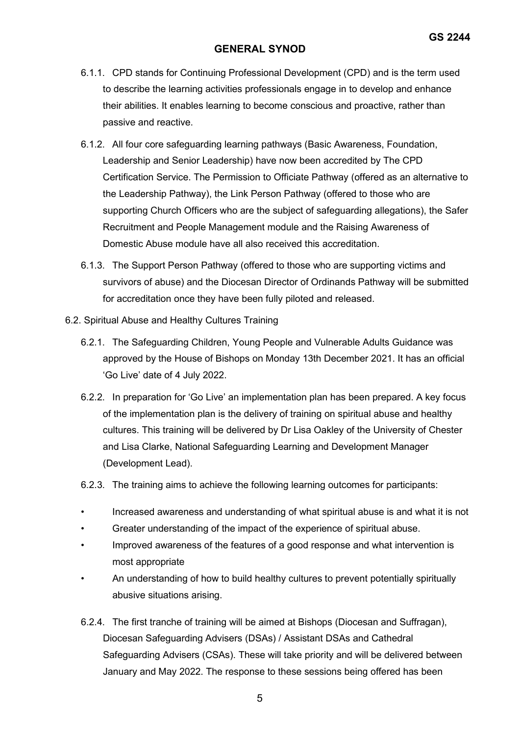- 6.1.1. CPD stands for Continuing Professional Development (CPD) and is the term used to describe the learning activities professionals engage in to develop and enhance their abilities. It enables learning to become conscious and proactive, rather than passive and reactive.
- 6.1.2. All four core safeguarding learning pathways (Basic Awareness, Foundation, Leadership and Senior Leadership) have now been accredited by The CPD Certification Service. The Permission to Officiate Pathway (offered as an alternative to the Leadership Pathway), the Link Person Pathway (offered to those who are supporting Church Officers who are the subject of safeguarding allegations), the Safer Recruitment and People Management module and the Raising Awareness of Domestic Abuse module have all also received this accreditation.
- 6.1.3. The Support Person Pathway (offered to those who are supporting victims and survivors of abuse) and the Diocesan Director of Ordinands Pathway will be submitted for accreditation once they have been fully piloted and released.
- 6.2. Spiritual Abuse and Healthy Cultures Training
	- 6.2.1. The Safeguarding Children, Young People and Vulnerable Adults Guidance was approved by the House of Bishops on Monday 13th December 2021. It has an official 'Go Live' date of 4 July 2022.
	- 6.2.2. In preparation for 'Go Live' an implementation plan has been prepared. A key focus of the implementation plan is the delivery of training on spiritual abuse and healthy cultures. This training will be delivered by Dr Lisa Oakley of the University of Chester and Lisa Clarke, National Safeguarding Learning and Development Manager (Development Lead).
	- 6.2.3. The training aims to achieve the following learning outcomes for participants:
	- Increased awareness and understanding of what spiritual abuse is and what it is not
	- Greater understanding of the impact of the experience of spiritual abuse.
	- Improved awareness of the features of a good response and what intervention is most appropriate
	- An understanding of how to build healthy cultures to prevent potentially spiritually abusive situations arising.
	- 6.2.4. The first tranche of training will be aimed at Bishops (Diocesan and Suffragan), Diocesan Safeguarding Advisers (DSAs) / Assistant DSAs and Cathedral Safeguarding Advisers (CSAs). These will take priority and will be delivered between January and May 2022. The response to these sessions being offered has been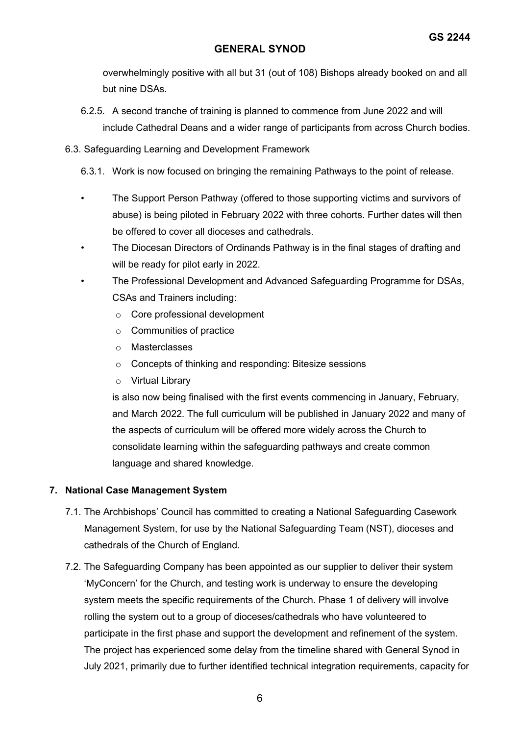overwhelmingly positive with all but 31 (out of 108) Bishops already booked on and all but nine DSAs.

- 6.2.5. A second tranche of training is planned to commence from June 2022 and will include Cathedral Deans and a wider range of participants from across Church bodies.
- 6.3. Safeguarding Learning and Development Framework
	- 6.3.1. Work is now focused on bringing the remaining Pathways to the point of release.
	- The Support Person Pathway (offered to those supporting victims and survivors of abuse) is being piloted in February 2022 with three cohorts. Further dates will then be offered to cover all dioceses and cathedrals.
	- The Diocesan Directors of Ordinands Pathway is in the final stages of drafting and will be ready for pilot early in 2022.
	- The Professional Development and Advanced Safeguarding Programme for DSAs, CSAs and Trainers including:
		- o Core professional development
		- o Communities of practice
		- o Masterclasses
		- o Concepts of thinking and responding: Bitesize sessions
		- o Virtual Library

is also now being finalised with the first events commencing in January, February, and March 2022. The full curriculum will be published in January 2022 and many of the aspects of curriculum will be offered more widely across the Church to consolidate learning within the safeguarding pathways and create common language and shared knowledge.

# **7. National Case Management System**

- 7.1. The Archbishops' Council has committed to creating a National Safeguarding Casework Management System, for use by the National Safeguarding Team (NST), dioceses and cathedrals of the Church of England.
- 7.2. The Safeguarding Company has been appointed as our supplier to deliver their system 'MyConcern' for the Church, and testing work is underway to ensure the developing system meets the specific requirements of the Church. Phase 1 of delivery will involve rolling the system out to a group of dioceses/cathedrals who have volunteered to participate in the first phase and support the development and refinement of the system. The project has experienced some delay from the timeline shared with General Synod in July 2021, primarily due to further identified technical integration requirements, capacity for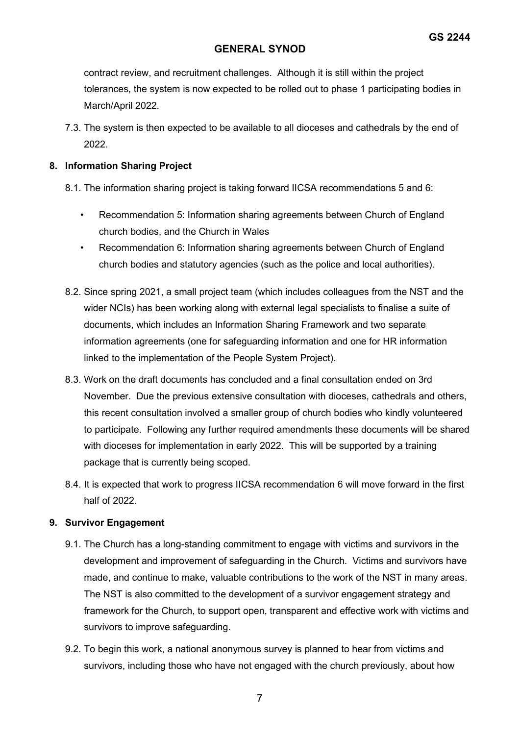contract review, and recruitment challenges. Although it is still within the project tolerances, the system is now expected to be rolled out to phase 1 participating bodies in March/April 2022.

7.3. The system is then expected to be available to all dioceses and cathedrals by the end of 2022.

## **8. Information Sharing Project**

- 8.1. The information sharing project is taking forward IICSA recommendations 5 and 6:
	- Recommendation 5: Information sharing agreements between Church of England church bodies, and the Church in Wales
	- Recommendation 6: Information sharing agreements between Church of England church bodies and statutory agencies (such as the police and local authorities).
- 8.2. Since spring 2021, a small project team (which includes colleagues from the NST and the wider NCIs) has been working along with external legal specialists to finalise a suite of documents, which includes an Information Sharing Framework and two separate information agreements (one for safeguarding information and one for HR information linked to the implementation of the People System Project).
- 8.3. Work on the draft documents has concluded and a final consultation ended on 3rd November. Due the previous extensive consultation with dioceses, cathedrals and others, this recent consultation involved a smaller group of church bodies who kindly volunteered to participate. Following any further required amendments these documents will be shared with dioceses for implementation in early 2022. This will be supported by a training package that is currently being scoped.
- 8.4. It is expected that work to progress IICSA recommendation 6 will move forward in the first half of 2022.

# **9. Survivor Engagement**

- 9.1. The Church has a long-standing commitment to engage with victims and survivors in the development and improvement of safeguarding in the Church. Victims and survivors have made, and continue to make, valuable contributions to the work of the NST in many areas. The NST is also committed to the development of a survivor engagement strategy and framework for the Church, to support open, transparent and effective work with victims and survivors to improve safeguarding.
- 9.2. To begin this work, a national anonymous survey is planned to hear from victims and survivors, including those who have not engaged with the church previously, about how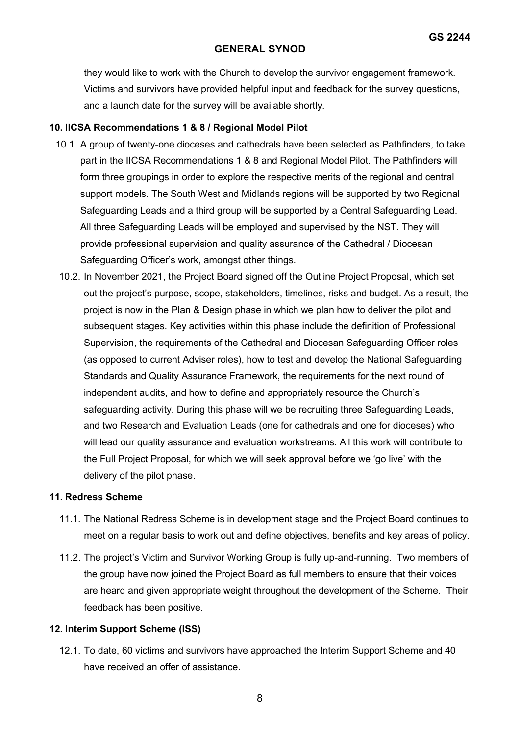they would like to work with the Church to develop the survivor engagement framework. Victims and survivors have provided helpful input and feedback for the survey questions, and a launch date for the survey will be available shortly.

## **10. IICSA Recommendations 1 & 8 / Regional Model Pilot**

- 10.1. A group of twenty-one dioceses and cathedrals have been selected as Pathfinders, to take part in the IICSA Recommendations 1 & 8 and Regional Model Pilot. The Pathfinders will form three groupings in order to explore the respective merits of the regional and central support models. The South West and Midlands regions will be supported by two Regional Safeguarding Leads and a third group will be supported by a Central Safeguarding Lead. All three Safeguarding Leads will be employed and supervised by the NST. They will provide professional supervision and quality assurance of the Cathedral / Diocesan Safeguarding Officer's work, amongst other things.
- 10.2. In November 2021, the Project Board signed off the Outline Project Proposal, which set out the project's purpose, scope, stakeholders, timelines, risks and budget. As a result, the project is now in the Plan & Design phase in which we plan how to deliver the pilot and subsequent stages. Key activities within this phase include the definition of Professional Supervision, the requirements of the Cathedral and Diocesan Safeguarding Officer roles (as opposed to current Adviser roles), how to test and develop the National Safeguarding Standards and Quality Assurance Framework, the requirements for the next round of independent audits, and how to define and appropriately resource the Church's safeguarding activity. During this phase will we be recruiting three Safeguarding Leads, and two Research and Evaluation Leads (one for cathedrals and one for dioceses) who will lead our quality assurance and evaluation workstreams. All this work will contribute to the Full Project Proposal, for which we will seek approval before we 'go live' with the delivery of the pilot phase.

#### **11. Redress Scheme**

- 11.1. The National Redress Scheme is in development stage and the Project Board continues to meet on a regular basis to work out and define objectives, benefits and key areas of policy.
- 11.2. The project's Victim and Survivor Working Group is fully up-and-running. Two members of the group have now joined the Project Board as full members to ensure that their voices are heard and given appropriate weight throughout the development of the Scheme. Their feedback has been positive.

# **12. Interim Support Scheme (ISS)**

12.1. To date, 60 victims and survivors have approached the Interim Support Scheme and 40 have received an offer of assistance.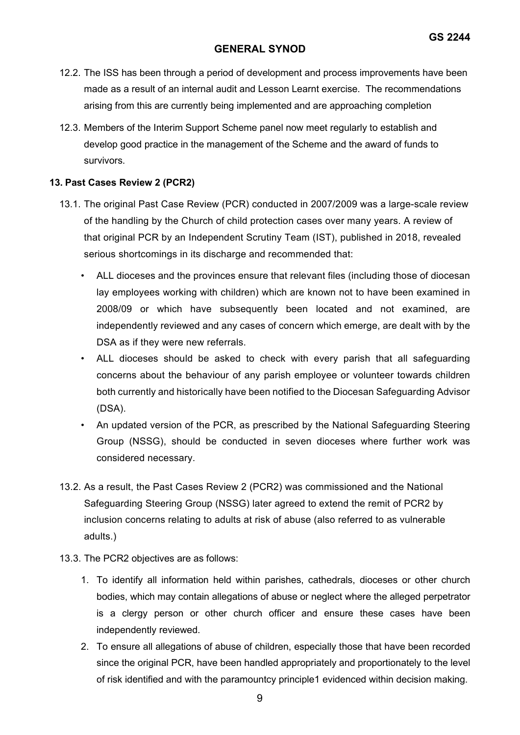- 12.2. The ISS has been through a period of development and process improvements have been made as a result of an internal audit and Lesson Learnt exercise. The recommendations arising from this are currently being implemented and are approaching completion
- 12.3. Members of the Interim Support Scheme panel now meet regularly to establish and develop good practice in the management of the Scheme and the award of funds to survivors.

### **13. Past Cases Review 2 (PCR2)**

- 13.1. The original Past Case Review (PCR) conducted in 2007/2009 was a large-scale review of the handling by the Church of child protection cases over many years. A review of that original PCR by an Independent Scrutiny Team (IST), published in 2018, revealed serious shortcomings in its discharge and recommended that:
	- ALL dioceses and the provinces ensure that relevant files (including those of diocesan lay employees working with children) which are known not to have been examined in 2008/09 or which have subsequently been located and not examined, are independently reviewed and any cases of concern which emerge, are dealt with by the DSA as if they were new referrals.
	- ALL dioceses should be asked to check with every parish that all safeguarding concerns about the behaviour of any parish employee or volunteer towards children both currently and historically have been notified to the Diocesan Safeguarding Advisor (DSA).
	- An updated version of the PCR, as prescribed by the National Safeguarding Steering Group (NSSG), should be conducted in seven dioceses where further work was considered necessary.
- 13.2. As a result, the Past Cases Review 2 (PCR2) was commissioned and the National Safeguarding Steering Group (NSSG) later agreed to extend the remit of PCR2 by inclusion concerns relating to adults at risk of abuse (also referred to as vulnerable adults.)
- 13.3. The PCR2 objectives are as follows:
	- 1. To identify all information held within parishes, cathedrals, dioceses or other church bodies, which may contain allegations of abuse or neglect where the alleged perpetrator is a clergy person or other church officer and ensure these cases have been independently reviewed.
	- 2. To ensure all allegations of abuse of children, especially those that have been recorded since the original PCR, have been handled appropriately and proportionately to the level of risk identified and with the paramountcy principle1 evidenced within decision making.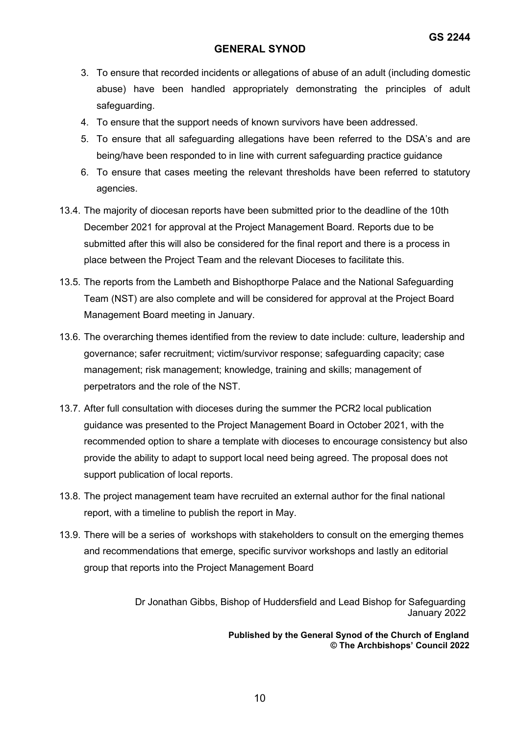- 3. To ensure that recorded incidents or allegations of abuse of an adult (including domestic abuse) have been handled appropriately demonstrating the principles of adult safeguarding.
- 4. To ensure that the support needs of known survivors have been addressed.
- 5. To ensure that all safeguarding allegations have been referred to the DSA's and are being/have been responded to in line with current safeguarding practice guidance
- 6. To ensure that cases meeting the relevant thresholds have been referred to statutory agencies.
- 13.4. The majority of diocesan reports have been submitted prior to the deadline of the 10th December 2021 for approval at the Project Management Board. Reports due to be submitted after this will also be considered for the final report and there is a process in place between the Project Team and the relevant Dioceses to facilitate this.
- 13.5. The reports from the Lambeth and Bishopthorpe Palace and the National Safeguarding Team (NST) are also complete and will be considered for approval at the Project Board Management Board meeting in January.
- 13.6. The overarching themes identified from the review to date include: culture, leadership and governance; safer recruitment; victim/survivor response; safeguarding capacity; case management; risk management; knowledge, training and skills; management of perpetrators and the role of the NST.
- 13.7. After full consultation with dioceses during the summer the PCR2 local publication guidance was presented to the Project Management Board in October 2021, with the recommended option to share a template with dioceses to encourage consistency but also provide the ability to adapt to support local need being agreed. The proposal does not support publication of local reports.
- 13.8. The project management team have recruited an external author for the final national report, with a timeline to publish the report in May.
- 13.9. There will be a series of workshops with stakeholders to consult on the emerging themes and recommendations that emerge, specific survivor workshops and lastly an editorial group that reports into the Project Management Board

 Dr Jonathan Gibbs, Bishop of Huddersfield and Lead Bishop for Safeguarding January 2022

> **Published by the General Synod of the Church of England © The Archbishops' Council 2022**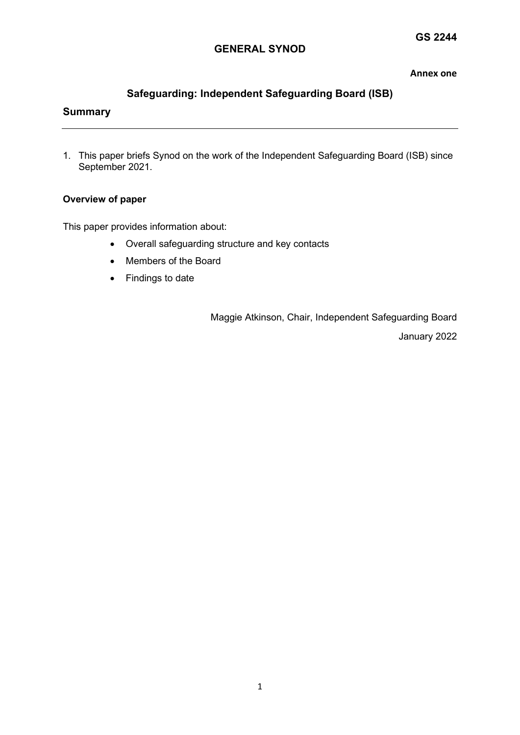#### **Annex one**

# **Safeguarding: Independent Safeguarding Board (ISB)**

# **Summary**

1. This paper briefs Synod on the work of the Independent Safeguarding Board (ISB) since September 2021.

#### **Overview of paper**

This paper provides information about:

- Overall safeguarding structure and key contacts
- Members of the Board
- Findings to date

 Maggie Atkinson, Chair, Independent Safeguarding Board January 2022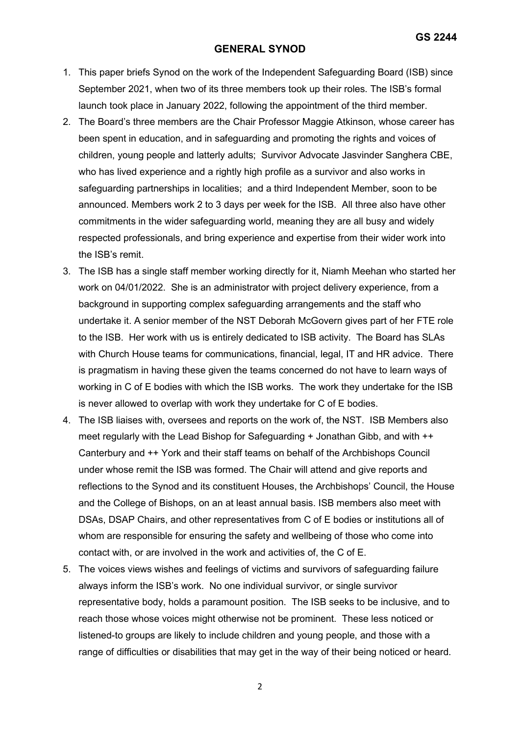- 1. This paper briefs Synod on the work of the Independent Safeguarding Board (ISB) since September 2021, when two of its three members took up their roles. The ISB's formal launch took place in January 2022, following the appointment of the third member.
- 2. The Board's three members are the Chair Professor Maggie Atkinson, whose career has been spent in education, and in safeguarding and promoting the rights and voices of children, young people and latterly adults; Survivor Advocate Jasvinder Sanghera CBE, who has lived experience and a rightly high profile as a survivor and also works in safeguarding partnerships in localities; and a third Independent Member, soon to be announced. Members work 2 to 3 days per week for the ISB. All three also have other commitments in the wider safeguarding world, meaning they are all busy and widely respected professionals, and bring experience and expertise from their wider work into the ISB's remit.
- 3. The ISB has a single staff member working directly for it, Niamh Meehan who started her work on 04/01/2022. She is an administrator with project delivery experience, from a background in supporting complex safeguarding arrangements and the staff who undertake it. A senior member of the NST Deborah McGovern gives part of her FTE role to the ISB. Her work with us is entirely dedicated to ISB activity. The Board has SLAs with Church House teams for communications, financial, legal, IT and HR advice. There is pragmatism in having these given the teams concerned do not have to learn ways of working in C of E bodies with which the ISB works. The work they undertake for the ISB is never allowed to overlap with work they undertake for C of E bodies.
- 4. The ISB liaises with, oversees and reports on the work of, the NST. ISB Members also meet regularly with the Lead Bishop for Safeguarding + Jonathan Gibb, and with ++ Canterbury and ++ York and their staff teams on behalf of the Archbishops Council under whose remit the ISB was formed. The Chair will attend and give reports and reflections to the Synod and its constituent Houses, the Archbishops' Council, the House and the College of Bishops, on an at least annual basis. ISB members also meet with DSAs, DSAP Chairs, and other representatives from C of E bodies or institutions all of whom are responsible for ensuring the safety and wellbeing of those who come into contact with, or are involved in the work and activities of, the C of E.
- 5. The voices views wishes and feelings of victims and survivors of safeguarding failure always inform the ISB's work. No one individual survivor, or single survivor representative body, holds a paramount position. The ISB seeks to be inclusive, and to reach those whose voices might otherwise not be prominent. These less noticed or listened-to groups are likely to include children and young people, and those with a range of difficulties or disabilities that may get in the way of their being noticed or heard.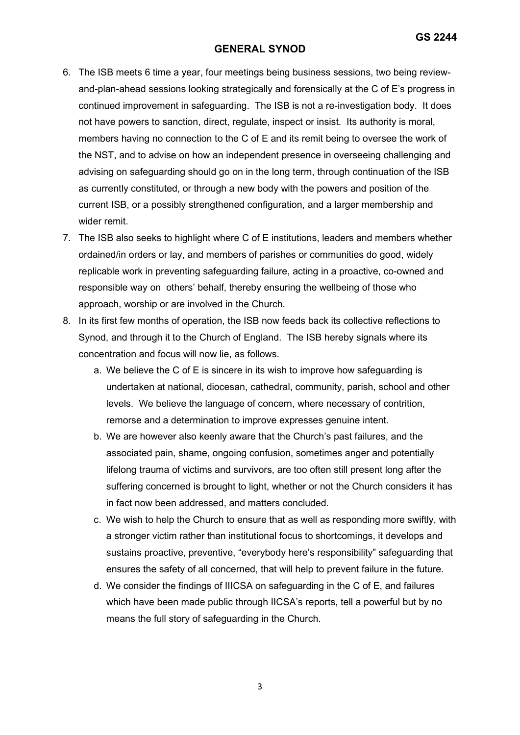- 6. The ISB meets 6 time a year, four meetings being business sessions, two being reviewand-plan-ahead sessions looking strategically and forensically at the C of E's progress in continued improvement in safeguarding. The ISB is not a re-investigation body. It does not have powers to sanction, direct, regulate, inspect or insist. Its authority is moral, members having no connection to the C of E and its remit being to oversee the work of the NST, and to advise on how an independent presence in overseeing challenging and advising on safeguarding should go on in the long term, through continuation of the ISB as currently constituted, or through a new body with the powers and position of the current ISB, or a possibly strengthened configuration, and a larger membership and wider remit.
- 7. The ISB also seeks to highlight where C of E institutions, leaders and members whether ordained/in orders or lay, and members of parishes or communities do good, widely replicable work in preventing safeguarding failure, acting in a proactive, co-owned and responsible way on others' behalf, thereby ensuring the wellbeing of those who approach, worship or are involved in the Church.
- 8. In its first few months of operation, the ISB now feeds back its collective reflections to Synod, and through it to the Church of England. The ISB hereby signals where its concentration and focus will now lie, as follows.
	- a. We believe the C of E is sincere in its wish to improve how safeguarding is undertaken at national, diocesan, cathedral, community, parish, school and other levels. We believe the language of concern, where necessary of contrition, remorse and a determination to improve expresses genuine intent.
	- b. We are however also keenly aware that the Church's past failures, and the associated pain, shame, ongoing confusion, sometimes anger and potentially lifelong trauma of victims and survivors, are too often still present long after the suffering concerned is brought to light, whether or not the Church considers it has in fact now been addressed, and matters concluded.
	- c. We wish to help the Church to ensure that as well as responding more swiftly, with a stronger victim rather than institutional focus to shortcomings, it develops and sustains proactive, preventive, "everybody here's responsibility" safeguarding that ensures the safety of all concerned, that will help to prevent failure in the future.
	- d. We consider the findings of IIICSA on safeguarding in the C of E, and failures which have been made public through IICSA's reports, tell a powerful but by no means the full story of safeguarding in the Church.